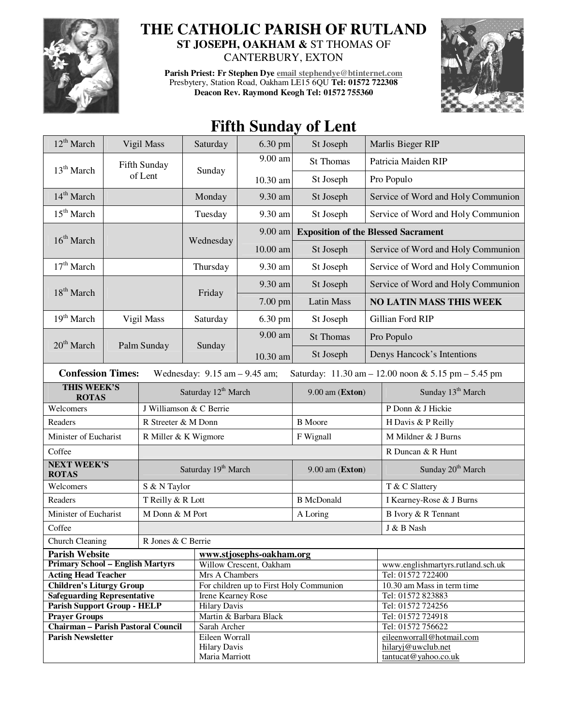

## **THE CATHOLIC PARISH OF RUTLAND ST JOSEPH, OAKHAM &** ST THOMAS OF CANTERBURY, EXTON

**Parish Priest: Fr Stephen Dye email stephendye@btinternet.com** Presbytery, Station Road, Oakham LE15 6QU **Tel: 01572 722308 Deacon Rev. Raymond Keogh Tel: 01572 755360** 



## **Fifth Sunday of Lent**

| 12 <sup>th</sup> March                                                                                               | Vigil Mass              |                                 | Saturday  | 6.30 pm                                 | St Joseph                                  |                                    | Marlis Bieger RIP                  |  |
|----------------------------------------------------------------------------------------------------------------------|-------------------------|---------------------------------|-----------|-----------------------------------------|--------------------------------------------|------------------------------------|------------------------------------|--|
| $13th$ March                                                                                                         | Fifth Sunday<br>of Lent |                                 | Sunday    | 9.00 am                                 | St Thomas                                  |                                    | Patricia Maiden RIP                |  |
|                                                                                                                      |                         |                                 |           | 10.30 am                                | St Joseph                                  | Pro Populo                         |                                    |  |
| 14 <sup>th</sup> March                                                                                               |                         |                                 | Monday    | 9.30 am                                 | St Joseph                                  | Service of Word and Holy Communion |                                    |  |
| $15th$ March                                                                                                         |                         |                                 | Tuesday   | 9.30 am                                 | St Joseph                                  |                                    | Service of Word and Holy Communion |  |
| $16th$ March                                                                                                         |                         |                                 |           | 9.00 am                                 | <b>Exposition of the Blessed Sacrament</b> |                                    |                                    |  |
|                                                                                                                      |                         |                                 | Wednesday | $10.00$ am                              | St Joseph                                  | Service of Word and Holy Communion |                                    |  |
| $17th$ March                                                                                                         |                         |                                 | Thursday  | 9.30 am                                 | St Joseph                                  | Service of Word and Holy Communion |                                    |  |
|                                                                                                                      |                         |                                 | Friday    | 9.30 am                                 | St Joseph                                  | Service of Word and Holy Communion |                                    |  |
| $18th$ March                                                                                                         |                         |                                 |           | 7.00 pm                                 | <b>Latin Mass</b>                          | <b>NO LATIN MASS THIS WEEK</b>     |                                    |  |
| 19 <sup>th</sup> March                                                                                               | Vigil Mass              |                                 | Saturday  | 6.30 pm                                 | St Joseph                                  | Gillian Ford RIP                   |                                    |  |
|                                                                                                                      |                         |                                 |           | 9.00 am                                 | <b>St Thomas</b>                           |                                    | Pro Populo                         |  |
| $20th$ March                                                                                                         | Palm Sunday             |                                 | Sunday    | 10.30 am                                | St Joseph                                  |                                    | Denys Hancock's Intentions         |  |
| <b>Confession Times:</b><br>Wednesday: $9.15$ am $- 9.45$ am;<br>Saturday: 11.30 am - 12.00 noon & 5.15 pm - 5.45 pm |                         |                                 |           |                                         |                                            |                                    |                                    |  |
| THIS WEEK'S                                                                                                          |                         | Saturday 12 <sup>th</sup> March |           |                                         | $9.00$ am (Exton)                          |                                    | Sunday 13 <sup>th</sup> March      |  |
| <b>ROTAS</b>                                                                                                         |                         | J Williamson & C Berrie         |           |                                         |                                            |                                    | P Donn & J Hickie                  |  |
| Welcomers                                                                                                            |                         |                                 |           |                                         |                                            |                                    |                                    |  |
| Readers                                                                                                              |                         | R Streeter & M Donn             |           |                                         | <b>B</b> Moore                             |                                    | H Davis & P Reilly                 |  |
| Minister of Eucharist                                                                                                |                         | R Miller & K Wigmore            |           |                                         | F Wignall                                  |                                    | M Mildner & J Burns                |  |
| Coffee                                                                                                               |                         |                                 |           |                                         |                                            |                                    | R Duncan & R Hunt                  |  |
| <b>NEXT WEEK'S</b><br><b>ROTAS</b>                                                                                   |                         | Saturday 19 <sup>th</sup> March |           |                                         | $9.00$ am (Exton)                          |                                    | Sunday 20 <sup>th</sup> March      |  |
| Welcomers                                                                                                            |                         | S & N Taylor                    |           |                                         |                                            |                                    | T & C Slattery                     |  |
| Readers                                                                                                              |                         | T Reilly & R Lott               |           |                                         | <b>B</b> McDonald                          |                                    | I Kearney-Rose & J Burns           |  |
| Minister of Eucharist                                                                                                |                         | M Donn & M Port                 |           |                                         | A Loring                                   |                                    | B Ivory & R Tennant                |  |
| Coffee                                                                                                               |                         |                                 |           |                                         |                                            |                                    | J & B Nash                         |  |
| R Jones & C Berrie<br>Church Cleaning                                                                                |                         |                                 |           |                                         |                                            |                                    |                                    |  |
| <b>Parish Website</b>                                                                                                |                         |                                 |           | www.stjosephs-oakham.org                |                                            |                                    |                                    |  |
| <b>Primary School - English Martyrs</b>                                                                              |                         |                                 |           | Willow Crescent, Oakham                 |                                            |                                    | www.englishmartyrs.rutland.sch.uk  |  |
| <b>Acting Head Teacher</b>                                                                                           |                         |                                 |           | Mrs A Chambers                          |                                            |                                    | Tel: 01572 722400                  |  |
| <b>Children's Liturgy Group</b>                                                                                      |                         |                                 |           | For children up to First Holy Communion |                                            |                                    | 10.30 am Mass in term time         |  |
| <b>Safeguarding Representative</b>                                                                                   |                         |                                 |           | Irene Kearney Rose                      |                                            |                                    | Tel: 01572 823883                  |  |
| <b>Parish Support Group - HELP</b>                                                                                   |                         |                                 |           | <b>Hilary Davis</b>                     |                                            |                                    | Tel: 01572 724256                  |  |
| <b>Prayer Groups</b>                                                                                                 |                         |                                 |           | Martin & Barbara Black                  |                                            |                                    | Tel: 01572 724918                  |  |
| <b>Chairman - Parish Pastoral Council</b>                                                                            |                         |                                 |           | Sarah Archer                            |                                            |                                    | Tel: 01572 756622                  |  |
| <b>Parish Newsletter</b>                                                                                             |                         |                                 |           | Eileen Worrall                          |                                            |                                    | eileenworrall@hotmail.com          |  |
|                                                                                                                      |                         |                                 |           | <b>Hilary Davis</b>                     |                                            |                                    | hilaryj@uwclub.net                 |  |
|                                                                                                                      |                         |                                 |           | Maria Marriott                          |                                            |                                    | tantucat@yahoo.co.uk               |  |